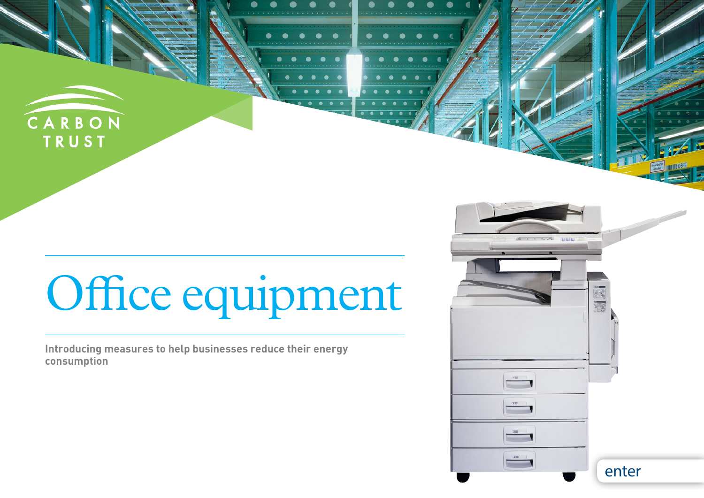

# Office equipment

 $\bullet$ 

**Introducing measures to help businesses reduce their energy consumption**

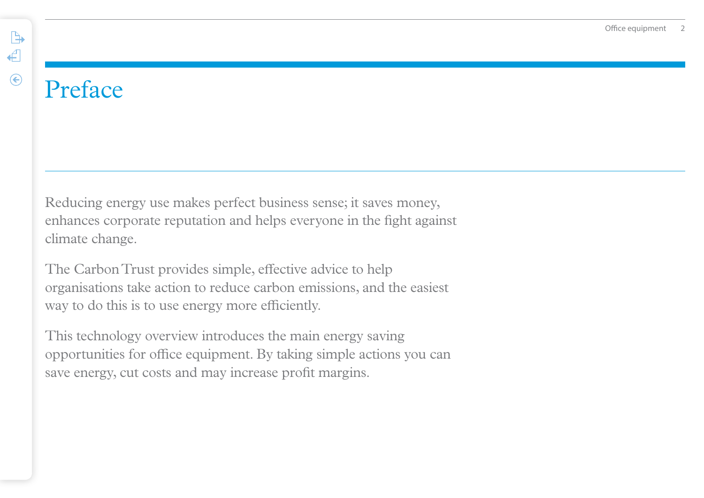## Preface

 $\begin{picture}(120,20) \put(0,0){\line(1,0){10}} \put(15,0){\line(1,0){10}} \put(15,0){\line(1,0){10}} \put(15,0){\line(1,0){10}} \put(15,0){\line(1,0){10}} \put(15,0){\line(1,0){10}} \put(15,0){\line(1,0){10}} \put(15,0){\line(1,0){10}} \put(15,0){\line(1,0){10}} \put(15,0){\line(1,0){10}} \put(15,0){\line(1,0){10}} \put(15,0){\line($ 

 $\leftarrow$ 

 $\odot$ 

Reducing energy use makes perfect business sense; it saves money, enhances corporate reputation and helps everyone in the fight against climate change.

The Carbon Trust provides simple, effective advice to help organisations take action to reduce carbon emissions, and the easiest way to do this is to use energy more efficiently.

This technology overview introduces the main energy saving opportunities for office equipment. By taking simple actions you can save energy, cut costs and may increase profit margins.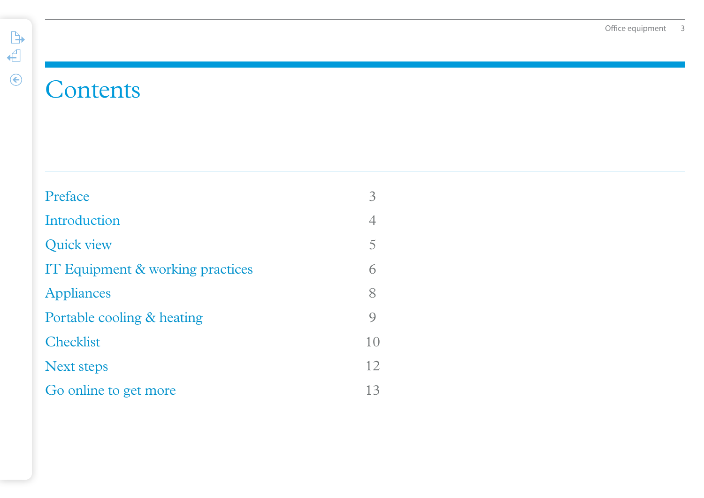### **Contents**

| Preface                          | 3              |
|----------------------------------|----------------|
| Introduction                     | 4              |
| <b>Quick view</b>                | $\overline{5}$ |
| IT Equipment & working practices | 6              |
| <b>Appliances</b>                | 8              |
| Portable cooling & heating       | $\mathsf{Q}$   |
| <b>Checklist</b>                 | 10             |
| <b>Next steps</b>                | 12             |
| Go online to get more            | 13             |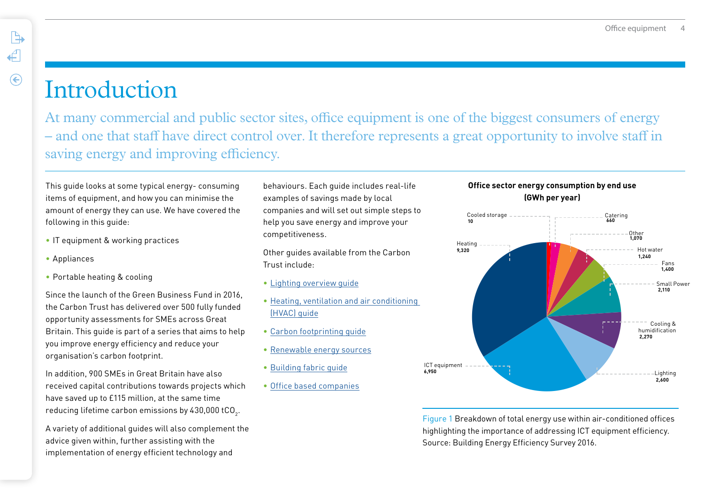### **Introduction**

At many commercial and public sector sites, office equipment is one of the biggest consumers of energy – and one that staff have direct control over. It therefore represents a great opportunity to involve staff in saving energy and improving efficiency.

This guide looks at some typical energy- consuming items of equipment, and how you can minimise the amount of energy they can use. We have covered the following in this guide:

- IT equipment & working practices
- Appliances

<span id="page-3-0"></span> $\mathbb{R}$ 

 $\leftarrow$ 

 $\odot$ 

• Portable heating & cooling

Since the launch of the Green Business Fund in 2016, the Carbon Trust has delivered over 500 fully funded opportunity assessments for SMEs across Great Britain. This guide is part of a series that aims to help you improve energy efficiency and reduce your organisation's carbon footprint.

In addition, 900 SMEs in Great Britain have also received capital contributions towards projects which have saved up to £115 million, at the same time reducing lifetime carbon emissions by 430,000 tCO $_{\textrm{\tiny{2}}}$ .

A variety of additional guides will also complement the advice given within, further assisting with the implementation of energy efficient technology and

behaviours. Each guide includes real-life examples of savings made by local companies and will set out simple steps to help you save energy and improve your competitiveness.

Other guides available from the Carbon Trust include:

- [Lighting overview guide](https://www.carbontrust.com/resources/guides/energy-efficiency/lighting/)
- [Heating, ventilation and air conditioning](https://www.carbontrust.com/resources/guides/energy-efficiency/heating-ventilation-and-air-conditioning-hvac/)  [\(HVAC\) guide](https://www.carbontrust.com/resources/guides/energy-efficiency/heating-ventilation-and-air-conditioning-hvac/)
- [Carbon footprinting guide](https://www.carbontrust.com/resources/guides/carbon-footprinting-and-reporting/carbon-footprinting/)
- [Renewable energy sources](https://www.carbontrust.com/resources/guides/renewable-energy-technologies/renewable-energy-and-combined-heat-and-power-chp/)
- [Building fabric guide](https://www.carbontrust.com/resources/guides/energy-efficiency/buildings-energy-efficiency/)
- [Office based companies](https://www.carbontrust.com/resources/guides/energy-efficiency/employee-awareness-and-office-energy-efficiency/)

#### **Office sector energy consumption by end use (GWh per year)**



Figure 1 Breakdown of total energy use within air-conditioned offices highlighting the importance of addressing ICT equipment efficiency. Source: Building Energy Efficiency Survey 2016.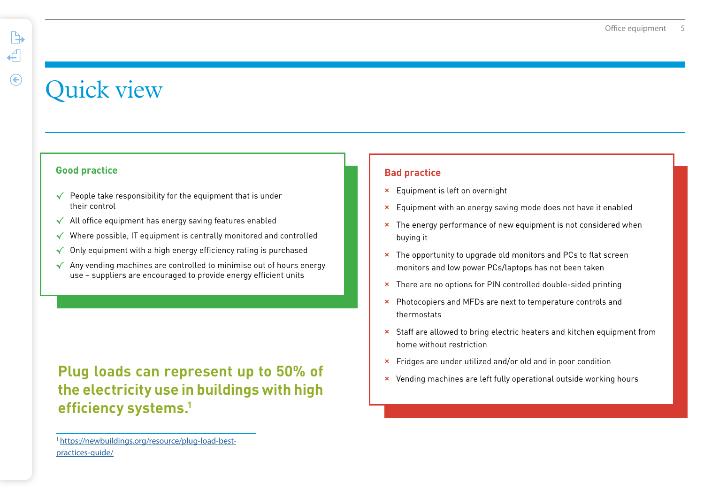### <span id="page-4-0"></span>Quick view

#### **Good practice**

- √ People take responsibility for the equipment that is under their control
- √ All office equipment has energy saving features enabled
- √ Where possible, IT equipment is centrally monitored and controlled
- Only equipment with a high energy efficiency rating is purchased
- √ Any vending machines are controlled to minimise out of hours energy use – suppliers are encouraged to provide energy efficient units

**Plug loads can represent up to 50% of <br>
x** Vending machines are left fully operational outside working hours **the electricity use in buildings with high efficiency systems.1**

#### **Bad practice**

- **×** Equipment is left on overnight
- **×** Equipment with an energy saving mode does not have it enabled
- **×** The energy performance of new equipment is not considered when buying it
- **×** The opportunity to upgrade old monitors and PCs to flat screen monitors and low power PCs/laptops has not been taken
- **×** There are no options for PIN controlled double-sided printing
- **×** Photocopiers and MFDs are next to temperature controls and thermostats
- **×** Staff are allowed to bring electric heaters and kitchen equipment from home without restriction
- **×** Fridges are under utilized and/or old and in poor condition
- 

<sup>1</sup> [https://newbuildings.org/resource/plug-load-best](https://newbuildings.org/resource/plug-load-best-practices-guide/)[practices-guide/](https://newbuildings.org/resource/plug-load-best-practices-guide/)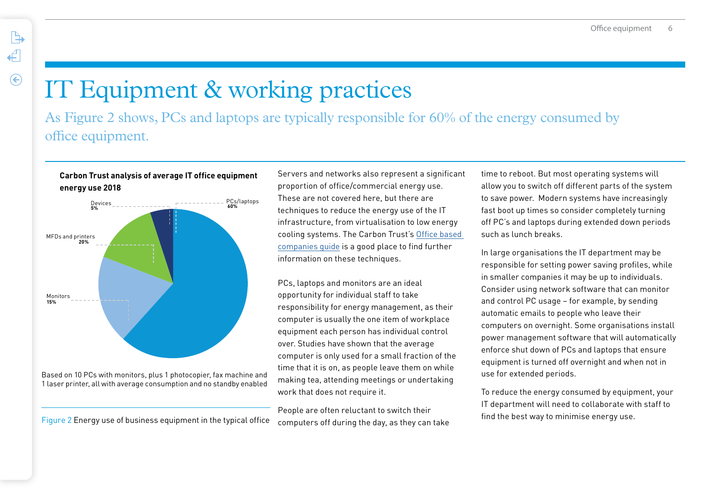## IT Equipment & working practices

As Figure 2 shows, PCs and laptops are typically responsible for 60% of the energy consumed by office equipment.

#### **Carbon Trust analysis of average IT office equipment energy use 2018**

<span id="page-5-0"></span> $\mathbb{R}$ 

 $\leftarrow$ 

 $\odot$ 



Figure 2 Energy use of business equipment in the typical office computers off during the day, as they can take

Servers and networks also represent a significant proportion of office/commercial energy use. These are not covered here, but there are techniques to reduce the energy use of the IT infrastructure, from virtualisation to low energy cooling systems. The Carbon Trust's [Office based](https://www.carbontrust.com/resources/guides/energy-efficiency/employee-awareness-and-office-energy-efficiency/)  [companies guide](https://www.carbontrust.com/resources/guides/energy-efficiency/employee-awareness-and-office-energy-efficiency/) is a good place to find further information on these techniques.

PCs, laptops and monitors are an ideal opportunity for individual staff to take responsibility for energy management, as their computer is usually the one item of workplace equipment each person has individual control over. Studies have shown that the average computer is only used for a small fraction of the time that it is on, as people leave them on while making tea, attending meetings or undertaking work that does not require it.

People are often reluctant to switch their

time to reboot. But most operating systems will allow you to switch off different parts of the system to save power. Modern systems have increasingly fast boot up times so consider completely turning off PC's and laptops during extended down periods such as lunch breaks.

In large organisations the IT department may be responsible for setting power saving profiles, while in smaller companies it may be up to individuals. Consider using network software that can monitor and control PC usage – for example, by sending automatic emails to people who leave their computers on overnight. Some organisations install power management software that will automatically enforce shut down of PCs and laptops that ensure equipment is turned off overnight and when not in use for extended periods.

To reduce the energy consumed by equipment, your IT department will need to collaborate with staff to find the best way to minimise energy use.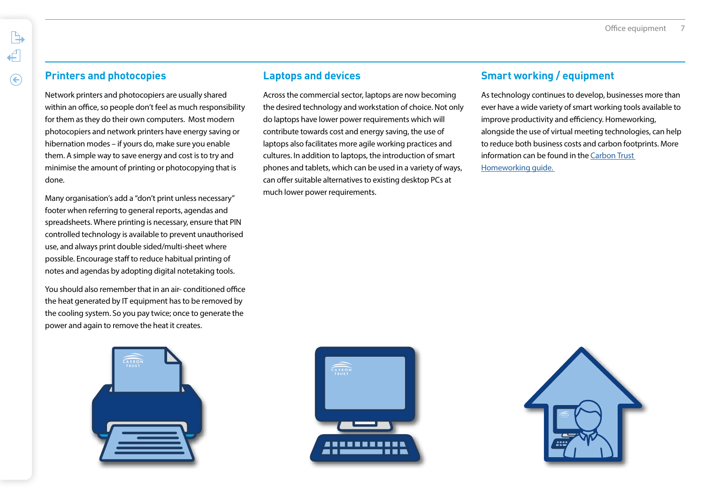#### **Printers and photocopies**

 $\mathbb{R}$ 

←

 $\mathcal{C}$ 

Network printers and photocopiers are usually shared within an office, so people don't feel as much responsibility for them as they do their own computers. Most modern photocopiers and network printers have energy saving or hibernation modes – if yours do, make sure you enable them. A simple way to save energy and cost is to try and minimise the amount of printing or photocopying that is done.

Many organisation's add a "don't print unless necessary" footer when referring to general reports, agendas and spreadsheets. Where printing is necessary, ensure that PIN controlled technology is available to prevent unauthorised use, and always print double sided/multi-sheet where possible. Encourage staff to reduce habitual printing of notes and agendas by adopting digital notetaking tools.

You should also remember that in an air- conditioned office the heat generated by IT equipment has to be removed by the cooling system. So you pay twice; once to generate the power and again to remove the heat it creates.



#### **Laptops and devices**

Across the commercial sector, laptops are now becoming the desired technology and workstation of choice. Not only do laptops have lower power requirements which will contribute towards cost and energy saving, the use of laptops also facilitates more agile working practices and cultures. In addition to laptops, the introduction of smart phones and tablets, which can be used in a variety of ways, can offer suitable alternatives to existing desktop PCs at much lower power requirements.

#### **Smart working / equipment**

As technology continues to develop, businesses more than ever have a wide variety of smart working tools available to improve productivity and efficiency. Homeworking, alongside the use of virtual meeting technologies, can help to reduce both business costs and carbon footprints. More information can be found in the [Carbon Trust](https://cn.carbontrust.com/media/507270/ctc830-homeworking.pdf)  [Homeworking guide.](https://cn.carbontrust.com/media/507270/ctc830-homeworking.pdf) 



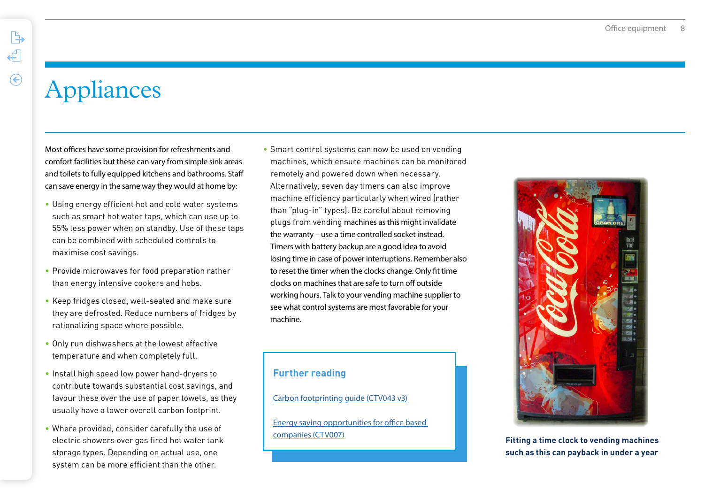<span id="page-7-0"></span> $\mathbb{R}$ 

### Appliances

Most offices have some provision for refreshments and comfort facilities but these can vary from simple sink areas and toilets to fully equipped kitchens and bathrooms. Staff can save energy in the same way they would at home by:

- Using energy efficient hot and cold water systems such as smart hot water taps, which can use up to 55% less power when on standby. Use of these taps can be combined with scheduled controls to maximise cost savings.
- Provide microwaves for food preparation rather than energy intensive cookers and hobs.
- Keep fridges closed, well-sealed and make sure they are defrosted. Reduce numbers of fridges by rationalizing space where possible.
- Only run dishwashers at the lowest effective temperature and when completely full.
- Install high speed low power hand-dryers to contribute towards substantial cost savings, and favour these over the use of paper towels, as they usually have a lower overall carbon footprint.
- Where provided, consider carefully the use of electric showers over gas fired hot water tank storage types. Depending on actual use, one system can be more efficient than the other.

• Smart control systems can now be used on vending machines, which ensure machines can be monitored remotely and powered down when necessary. Alternatively, seven day timers can also improve machine efficiency particularly when wired (rather than "plug-in" types). Be careful about removing plugs from vending machines as this might invalidate the warranty – use a time controlled socket instead. Timers with battery backup are a good idea to avoid losing time in case of power interruptions. Remember also to reset the timer when the clocks change. Only fit time clocks on machines that are safe to turn off outside working hours. Talk to your vending machine supplier to see what control systems are most favorable for your machine.

#### **Further reading**

[Carbon footprinting guide \(CTV043 v3\)](https://www.carbontrust.com/resources/guides/carbon-footprinting-and-reporting/carbon-footprinting/)

[Energy saving opportunities for office based](https://www.carbontrust.com/resources/guides/energy-efficiency/employee-awareness-and-office-energy-efficiency/)  [companies \(CTV007\)](https://www.carbontrust.com/resources/guides/energy-efficiency/employee-awareness-and-office-energy-efficiency/)



**Fitting a time clock to vending machines such as this can payback in under a year**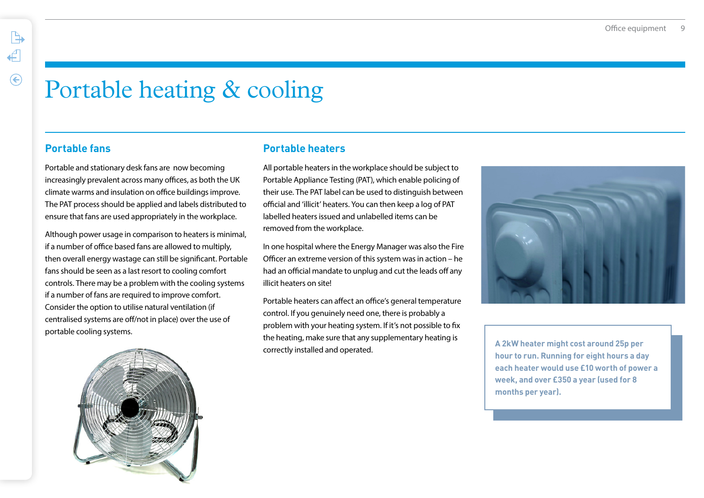### Portable heating & cooling

#### **Portable fans**

<span id="page-8-0"></span> $\mathbb{R}$ 

 $\leftarrow$ 

 $\odot$ 

Portable and stationary desk fans are now becoming increasingly prevalent across many offices, as both the UK climate warms and insulation on office buildings improve. The PAT process should be applied and labels distributed to ensure that fans are used appropriately in the workplace.

Although power usage in comparison to heaters is minimal, if a number of office based fans are allowed to multiply, then overall energy wastage can still be significant. Portable fans should be seen as a last resort to cooling comfort controls. There may be a problem with the cooling systems if a number of fans are required to improve comfort. Consider the option to utilise natural ventilation (if centralised systems are off/not in place) over the use of portable cooling systems.

#### **Portable heaters**

All portable heaters in the workplace should be subject to Portable Appliance Testing (PAT), which enable policing of their use. The PAT label can be used to distinguish between official and 'illicit' heaters. You can then keep a log of PAT labelled heaters issued and unlabelled items can be removed from the workplace.

In one hospital where the Energy Manager was also the Fire Officer an extreme version of this system was in action – he had an official mandate to unplug and cut the leads off any illicit heaters on site!

Portable heaters can affect an office's general temperature control. If you genuinely need one, there is probably a problem with your heating system. If it's not possible to fix the heating, make sure that any supplementary heating is correctly installed and operated.



**A 2kW heater might cost around 25p per hour to run. Running for eight hours a day each heater would use £10 worth of power a week, and over £350 a year (used for 8 months per year).**

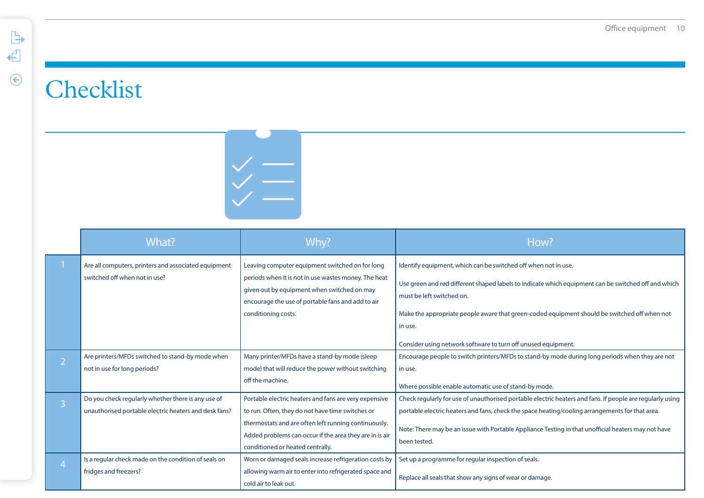## <span id="page-9-0"></span>**Checklist**



|                | What?                                                                                                       | Why?                                                                                                                                                                                                                                                             | How?                                                                                                                                                                                                                                                                                                                                                                           |
|----------------|-------------------------------------------------------------------------------------------------------------|------------------------------------------------------------------------------------------------------------------------------------------------------------------------------------------------------------------------------------------------------------------|--------------------------------------------------------------------------------------------------------------------------------------------------------------------------------------------------------------------------------------------------------------------------------------------------------------------------------------------------------------------------------|
|                | Are all computers, printers and associated equipment<br>switched off when not in use?                       | Leaving computer equipment switched on for long<br>periods when it is not in use wastes money. The heat<br>given out by equipment when switched on may<br>encourage the use of portable fans and add to air<br>conditioning costs.                               | Identify equipment, which can be switched off when not in use.<br>Use green and red different shaped labels to indicate which equipment can be switched off and which<br>must be left switched on.<br>Make the appropriate people aware that green-coded equipment should be switched off when not<br>in use.<br>Consider using network software to turn off unused equipment. |
| $\overline{2}$ | Are printers/MFDs switched to stand-by mode when<br>not in use for long periods?                            | Many printer/MFDs have a stand-by mode (sleep<br>mode) that will reduce the power without switching<br>off the machine.                                                                                                                                          | Encourage people to switch printers/MFDs to stand-by mode during long periods when they are not<br>in use.<br>Where possible enable automatic use of stand-by mode.                                                                                                                                                                                                            |
| $\overline{3}$ | Do you check regularly whether there is any use of<br>unauthorised portable electric heaters and desk fans? | Portable electric heaters and fans are very expensive<br>to run. Often, they do not have time switches or<br>thermostats and are often left running continuously.<br>Added problems can occur if the area they are in is air<br>conditioned or heated centrally. | Check regularly for use of unauthorised portable electric heaters and fans. If people are regularly using<br>portable electric heaters and fans, check the space heating/cooling arrangements for that area.<br>Note: There may be an issue with Portable Appliance Testing in that unofficial heaters may not have<br>been tested.                                            |
| $\overline{4}$ | Is a regular check made on the condition of seals on<br>fridges and freezers?                               | Worn or damaged seals increase refrigeration costs by<br>allowing warm air to enter into refrigerated space and<br>cold air to leak out.                                                                                                                         | Set up a programme for regular inspection of seals.<br>Replace all seals that show any signs of wear or damage.                                                                                                                                                                                                                                                                |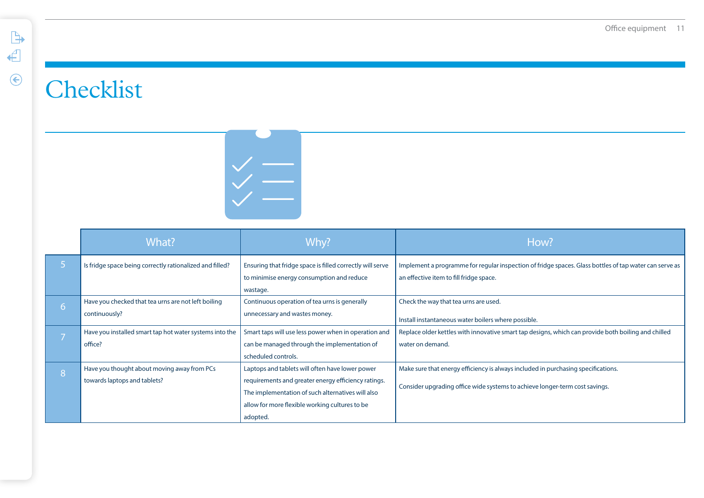### **Checklist**



|                | What?                                                    | Why?                                                      | How?                                                                                                   |
|----------------|----------------------------------------------------------|-----------------------------------------------------------|--------------------------------------------------------------------------------------------------------|
|                | Is fridge space being correctly rationalized and filled? | Ensuring that fridge space is filled correctly will serve | Implement a programme for regular inspection of fridge spaces. Glass bottles of tap water can serve as |
|                |                                                          | to minimise energy consumption and reduce                 | an effective item to fill fridge space.                                                                |
|                |                                                          | wastage.                                                  |                                                                                                        |
| $\overline{6}$ | Have you checked that tea urns are not left boiling      | Continuous operation of tea urns is generally             | Check the way that tea urns are used.                                                                  |
|                | continuously?                                            | unnecessary and wastes money.                             | Install instantaneous water boilers where possible.                                                    |
|                | Have you installed smart tap hot water systems into the  | Smart taps will use less power when in operation and      | Replace older kettles with innovative smart tap designs, which can provide both boiling and chilled    |
|                | office?                                                  | can be managed through the implementation of              | water on demand.                                                                                       |
|                |                                                          | scheduled controls.                                       |                                                                                                        |
| 8              | Have you thought about moving away from PCs              | Laptops and tablets will often have lower power           | Make sure that energy efficiency is always included in purchasing specifications.                      |
|                | towards laptops and tablets?                             | requirements and greater energy efficiency ratings.       |                                                                                                        |
|                |                                                          | The implementation of such alternatives will also         | Consider upgrading office wide systems to achieve longer-term cost savings.                            |
|                |                                                          | allow for more flexible working cultures to be            |                                                                                                        |
|                |                                                          | adopted.                                                  |                                                                                                        |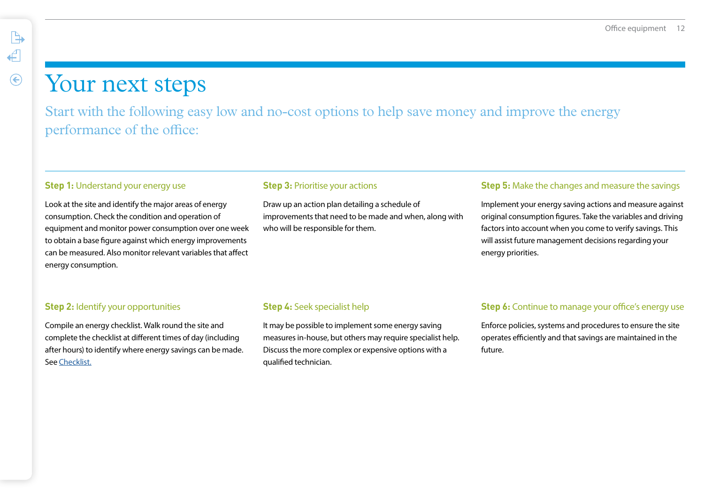### Your next steps

<span id="page-11-0"></span> $\mathbb{B}$ 

 $\leftarrow$ 

 $\odot$ 

Start with the following easy low and no-cost options to help save money and improve the energy performance of the office:

#### **Step 1: Understand your energy use**

Look at the site and identify the major areas of energy consumption. Check the condition and operation of equipment and monitor power consumption over one week to obtain a base figure against which energy improvements can be measured. Also monitor relevant variables that affect energy consumption.

#### **Step 3: Prioritise your actions**

Draw up an action plan detailing a schedule of improvements that need to be made and when, along with who will be responsible for them.

#### **Step 5:** Make the changes and measure the savings

Implement your energy saving actions and measure against original consumption figures. Take the variables and driving factors into account when you come to verify savings. This will assist future management decisions regarding your energy priorities.

#### **Step 2: Identify your opportunities**

Compile an energy checklist. Walk round the site and complete the checklist at different times of day (including after hours) to identify where energy savings can be made. See [Checklist.](#page-9-0)

#### **Step 4:** Seek specialist help

It may be possible to implement some energy saving measures in-house, but others may require specialist help. Discuss the more complex or expensive options with a qualified technician.

#### **Step 6:** Continue to manage your office's energy use

Enforce policies, systems and procedures to ensure the site operates efficiently and that savings are maintained in the future.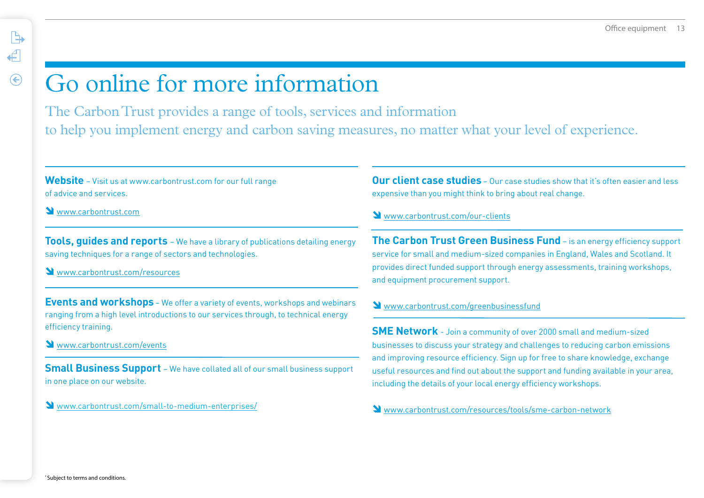### Go online for more information

The Carbon Trust provides a range of tools, services and information to help you implement energy and carbon saving measures, no matter what your level of experience.

**Website** – Visit us at www.carbontrust.com for our full range of advice and services.

Www.carbontrust.com

<span id="page-12-0"></span> $\mathbb{R}$ 

 $\leftarrow$ 

 $\odot$ 

**Tools, guides and reports** – We have a library of publications detailing energy saving techniques for a range of sectors and technologies.

Www.carbontrust.com/resources

**Events and workshops** – We offer a variety of events, workshops and webinars ranging from a high level introductions to our services through, to technical energy efficiency training.

<www.carbontrust.com/events>

**Small Business Support** – We have collated all of our small business support in one place on our website.

[www.carbontrust.com/small-to-medium-enterprises/](https://www.carbontrust.com/small-to-medium-enterprises/)

**Our client case studies** – Our case studies show that it's often easier and less expensive than you might think to bring about real change.

#### [www.carbontrust.com/o](https://www.carbontrust.com/our-clients/)ur-clients

**The Carbon Trust Green Business Fund** – is an energy efficiency support service for small and medium-sized companies in England, Wales and Scotland. It provides direct funded support through energy assessments, training workshops, and equipment procurement support.

#### Www.carbontrust.com/greenbusinessfund

**SME Network** - Join a community of over 2000 small and medium-sized businesses to discuss your strategy and challenges to reducing carbon emissions and improving resource efficiency. Sign up for free to share knowledge, exchange useful resources and find out about the support and funding available in your area, including the details of your local energy efficiency workshops.

[www.carbontrust.com/resources/tools/sme-carbon-network](https://www.carbontrust.com/resources/tools/sme-carbon-network/)